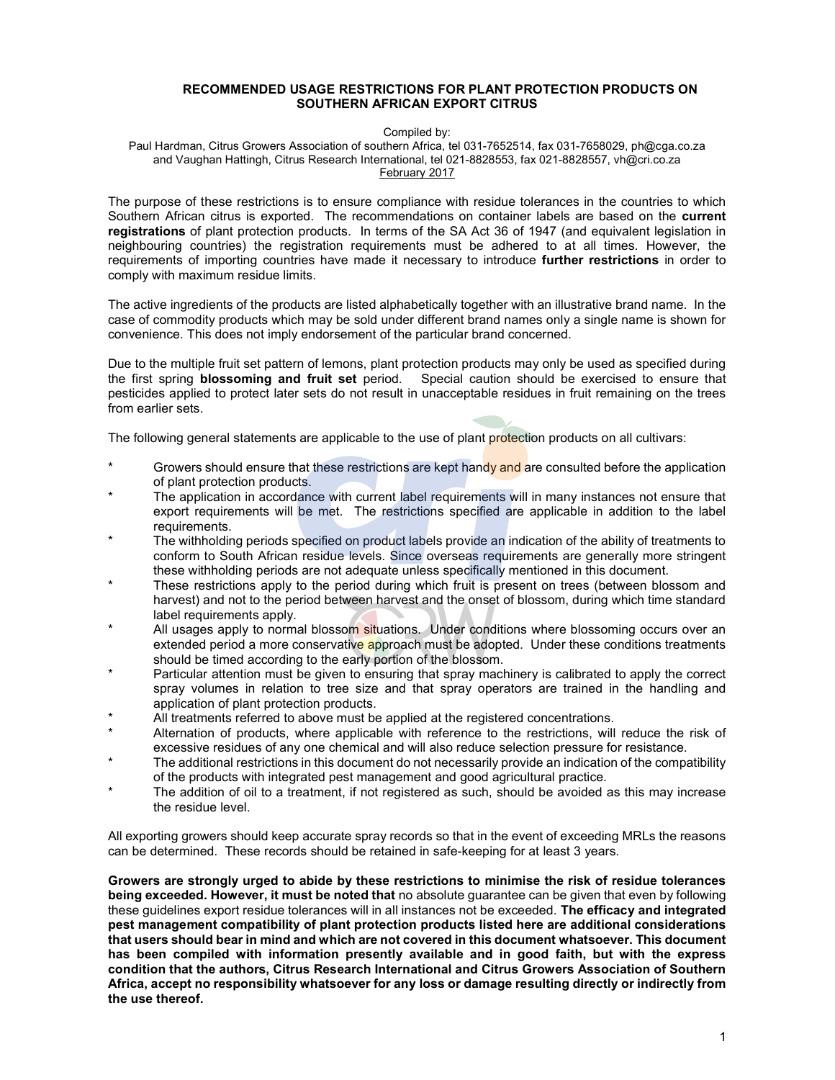#### RECOMMENDED USAGE RESTRICTIONS FOR PLANT PROTECTION PRODUCTS ON SOUTHERN AFRICAN EXPORT CITRUS

#### Compiled by:

Paul Hardman, Citrus Growers Association of southern Africa, tel 031-7652514, fax 031-7658029, ph@cga.co.za and Vaughan Hattingh, Citrus Research International, tel 021-8828553, fax 021-8828557, vh@cri.co.za February 2017

The purpose of these restrictions is to ensure compliance with residue tolerances in the countries to which Southern African citrus is exported. The recommendations on container labels are based on the current registrations of plant protection products. In terms of the SA Act 36 of 1947 (and equivalent legislation in neighbouring countries) the registration requirements must be adhered to at all times. However, the requirements of importing countries have made it necessary to introduce further restrictions in order to comply with maximum residue limits.

The active ingredients of the products are listed alphabetically together with an illustrative brand name. In the case of commodity products which may be sold under different brand names only a single name is shown for convenience. This does not imply endorsement of the particular brand concerned.

Due to the multiple fruit set pattern of lemons, plant protection products may only be used as specified during the first spring blossoming and fruit set period. Special caution should be exercised to ensure that pesticides applied to protect later sets do not result in unacceptable residues in fruit remaining on the trees from earlier sets.

The following general statements are applicable to the use of plant protection products on all cultivars:

- Growers should ensure that these restrictions are kept handy and are consulted before the application of plant protection products.
- The application in accordance with current label requirements will in many instances not ensure that export requirements will be met. The restrictions specified are applicable in addition to the label requirements.
- The withholding periods specified on product labels provide an indication of the ability of treatments to conform to South African residue levels. Since overseas requirements are generally more stringent these withholding periods are not adequate unless specifically mentioned in this document.
- These restrictions apply to the period during which fruit is present on trees (between blossom and harvest) and not to the period between harvest and the onset of blossom, during which time standard label requirements apply.
- All usages apply to normal blossom situations. Under conditions where blossoming occurs over an extended period a more conservative approach must be adopted. Under these conditions treatments should be timed according to the early portion of the blossom.
- Particular attention must be given to ensuring that spray machinery is calibrated to apply the correct spray volumes in relation to tree size and that spray operators are trained in the handling and application of plant protection products.
- All treatments referred to above must be applied at the registered concentrations.
- Alternation of products, where applicable with reference to the restrictions, will reduce the risk of excessive residues of any one chemical and will also reduce selection pressure for resistance.
- The additional restrictions in this document do not necessarily provide an indication of the compatibility of the products with integrated pest management and good agricultural practice.
- The addition of oil to a treatment, if not registered as such, should be avoided as this may increase the residue level.

All exporting growers should keep accurate spray records so that in the event of exceeding MRLs the reasons can be determined. These records should be retained in safe-keeping for at least 3 years.

Growers are strongly urged to abide by these restrictions to minimise the risk of residue tolerances being exceeded. However, it must be noted that no absolute guarantee can be given that even by following these quidelines export residue tolerances will in all instances not be exceeded. The efficacy and integrated pest management compatibility of plant protection products listed here are additional considerations that users should bear in mind and which are not covered in this document whatsoever. This document has been compiled with information presently available and in good faith, but with the express condition that the authors, Citrus Research International and Citrus Growers Association of Southern Africa, accept no responsibility whatsoever for any loss or damage resulting directly or indirectly from the use thereof.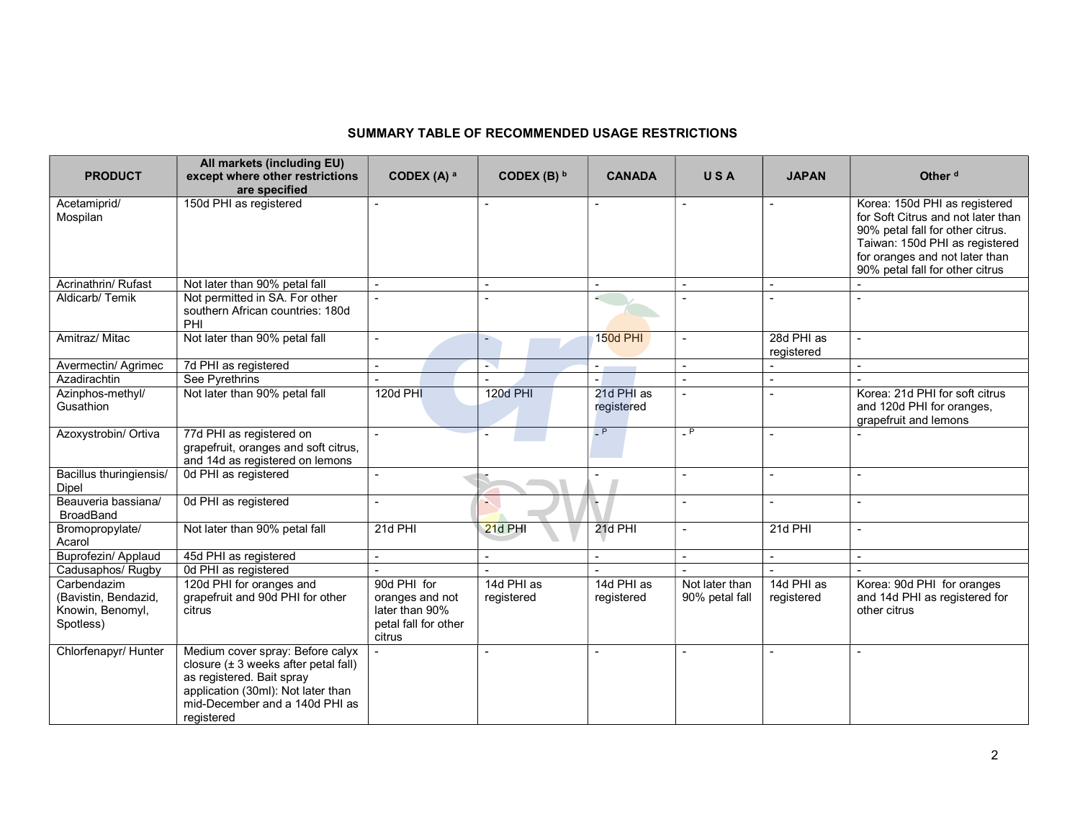#### SUMMARY TABLE OF RECOMMENDED USAGE RESTRICTIONS

| <b>PRODUCT</b>                                                       | All markets (including EU)<br>except where other restrictions<br>are specified                                                                                                                  | CODEX $(A)$ <sup>a</sup>                                                           | CODEX (B) b              | <b>CANADA</b>            | <b>USA</b>                       | <b>JAPAN</b>             | Other <sup>d</sup>                                                                                                                                                                                             |
|----------------------------------------------------------------------|-------------------------------------------------------------------------------------------------------------------------------------------------------------------------------------------------|------------------------------------------------------------------------------------|--------------------------|--------------------------|----------------------------------|--------------------------|----------------------------------------------------------------------------------------------------------------------------------------------------------------------------------------------------------------|
| Acetamiprid/<br>Mospilan                                             | 150d PHI as registered                                                                                                                                                                          | $\overline{a}$                                                                     | $\blacksquare$           |                          | $\overline{a}$                   | $\overline{\phantom{a}}$ | Korea: 150d PHI as registered<br>for Soft Citrus and not later than<br>90% petal fall for other citrus.<br>Taiwan: 150d PHI as registered<br>for oranges and not later than<br>90% petal fall for other citrus |
| Acrinathrin/ Rufast                                                  | Not later than 90% petal fall                                                                                                                                                                   |                                                                                    |                          |                          |                                  |                          |                                                                                                                                                                                                                |
| Aldicarb/Temik                                                       | Not permitted in SA. For other<br>southern African countries: 180d<br>PHI                                                                                                                       |                                                                                    |                          | a.                       |                                  |                          |                                                                                                                                                                                                                |
| Amitraz/ Mitac                                                       | Not later than 90% petal fall                                                                                                                                                                   | $\overline{\phantom{a}}$                                                           | ٠                        | <b>150d PHI</b>          |                                  | 28d PHI as<br>registered |                                                                                                                                                                                                                |
| Avermectin/ Agrimec                                                  | 7d PHI as registered                                                                                                                                                                            | $\blacksquare$                                                                     | à.                       | $\sim 100$               | $\mathbf{r}$                     | $\overline{\phantom{a}}$ | $\sim$                                                                                                                                                                                                         |
| Azadirachtin                                                         | See Pyrethrins                                                                                                                                                                                  |                                                                                    |                          |                          |                                  | $\overline{a}$           |                                                                                                                                                                                                                |
| Azinphos-methyl/<br>Gusathion                                        | Not later than 90% petal fall                                                                                                                                                                   | 120d PHI                                                                           | 120d PHI                 | 21d PHI as<br>registered |                                  |                          | Korea: 21d PHI for soft citrus<br>and 120d PHI for oranges,<br>grapefruit and lemons                                                                                                                           |
| Azoxystrobin/ Ortiva                                                 | 77d PHI as registered on<br>grapefruit, oranges and soft citrus,<br>and 14d as registered on lemons                                                                                             | $\mathbf{r}$                                                                       |                          | $-$ P                    | $\overline{\phantom{a}}$ P       | $\overline{a}$           |                                                                                                                                                                                                                |
| Bacillus thuringiensis/<br><b>Dipel</b>                              | 0d PHI as registered                                                                                                                                                                            | $\blacksquare$                                                                     |                          |                          |                                  |                          |                                                                                                                                                                                                                |
| Beauveria bassiana/<br><b>BroadBand</b>                              | 0d PHI as registered                                                                                                                                                                            | $\blacksquare$                                                                     |                          |                          | $\blacksquare$                   | $\blacksquare$           | $\overline{\phantom{a}}$                                                                                                                                                                                       |
| Bromopropylate/<br>Acarol                                            | Not later than 90% petal fall                                                                                                                                                                   | 21d PHI                                                                            | 21d PHI                  | 21d PHI                  | $\overline{a}$                   | 21d PHI                  |                                                                                                                                                                                                                |
| Buprofezin/ Applaud                                                  | 45d PHI as registered                                                                                                                                                                           |                                                                                    |                          |                          |                                  |                          |                                                                                                                                                                                                                |
| Cadusaphos/ Rugby                                                    | 0d PHI as registered                                                                                                                                                                            |                                                                                    |                          |                          |                                  |                          |                                                                                                                                                                                                                |
| Carbendazim<br>(Bavistin, Bendazid,<br>Knowin, Benomyl,<br>Spotless) | 120d PHI for oranges and<br>grapefruit and 90d PHI for other<br>citrus                                                                                                                          | 90d PHI for<br>oranges and not<br>later than 90%<br>petal fall for other<br>citrus | 14d PHI as<br>registered | 14d PHI as<br>registered | Not later than<br>90% petal fall | 14d PHI as<br>registered | Korea: 90d PHI for oranges<br>and 14d PHI as registered for<br>other citrus                                                                                                                                    |
| Chlorfenapyr/ Hunter                                                 | Medium cover spray: Before calyx<br>closure $(\pm 3$ weeks after petal fall)<br>as registered. Bait spray<br>application (30ml): Not later than<br>mid-December and a 140d PHI as<br>registered |                                                                                    |                          |                          |                                  |                          |                                                                                                                                                                                                                |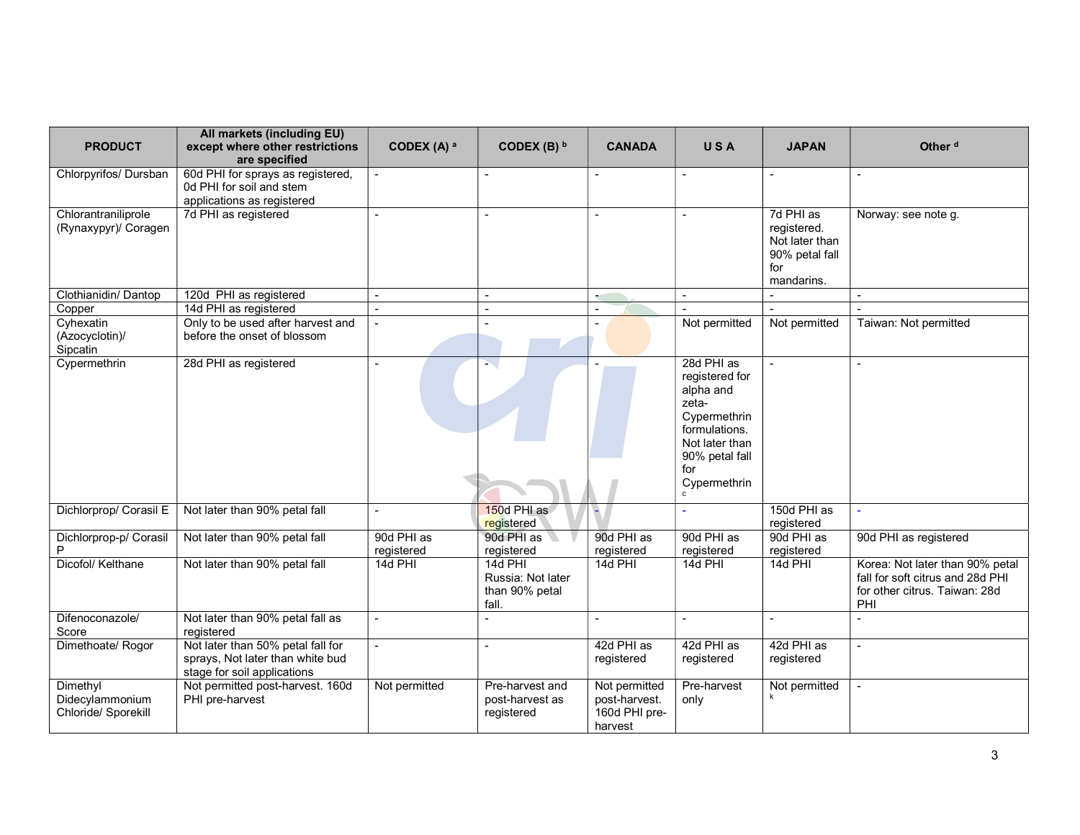| <b>PRODUCT</b>              | All markets (including EU)<br>except where other restrictions<br>are specified | CODEX (A) a              | CODEX (B) $b$            | <b>CANADA</b>  | USA                   | <b>JAPAN</b>                     | Other <sup>d</sup>               |
|-----------------------------|--------------------------------------------------------------------------------|--------------------------|--------------------------|----------------|-----------------------|----------------------------------|----------------------------------|
| Chlorpyrifos/ Dursban       | 60d PHI for sprays as registered,<br>0d PHI for soil and stem                  |                          |                          |                |                       |                                  |                                  |
|                             | applications as registered                                                     |                          |                          |                |                       |                                  |                                  |
| Chlorantraniliprole         | 7d PHI as registered                                                           |                          |                          |                |                       | 7d PHI as                        | Norway: see note g.              |
| (Rynaxypyr)/ Coragen        |                                                                                |                          |                          |                |                       | registered.                      |                                  |
|                             |                                                                                |                          |                          |                |                       | Not later than<br>90% petal fall |                                  |
|                             |                                                                                |                          |                          |                |                       | for                              |                                  |
|                             |                                                                                |                          |                          |                |                       | mandarins.                       |                                  |
| Clothianidin/Dantop         | 120d PHI as registered                                                         |                          |                          | $\sim$         | $\overline{a}$        | $\overline{a}$                   |                                  |
| Copper<br>Cyhexatin         | 14d PHI as registered<br>Only to be used after harvest and                     |                          | $\sim$                   |                | Not permitted         | Not permitted                    | Taiwan: Not permitted            |
| (Azocyclotin)/              | before the onset of blossom                                                    |                          |                          | $\blacksquare$ |                       |                                  |                                  |
| Sipcatin                    |                                                                                |                          |                          |                |                       |                                  |                                  |
| Cypermethrin                | 28d PHI as registered                                                          |                          | $\mathbf{L}$             |                | 28d PHI as            |                                  | $\blacksquare$                   |
|                             |                                                                                |                          |                          |                | registered for        |                                  |                                  |
|                             |                                                                                |                          |                          |                | alpha and             |                                  |                                  |
|                             |                                                                                |                          |                          |                | zeta-<br>Cypermethrin |                                  |                                  |
|                             |                                                                                |                          |                          |                | formulations.         |                                  |                                  |
|                             |                                                                                |                          |                          |                | Not later than        |                                  |                                  |
|                             |                                                                                |                          |                          |                | 90% petal fall        |                                  |                                  |
|                             |                                                                                |                          |                          |                | for                   |                                  |                                  |
|                             |                                                                                |                          |                          |                | Cypermethrin          |                                  |                                  |
| Dichlorprop/ Corasil E      | Not later than 90% petal fall                                                  |                          | 150d PHI as              |                |                       | 150d PHI as                      |                                  |
|                             |                                                                                | 90d PHI as               | registered<br>90d PHI as | 90d PHI as     | 90d PHI as            | registered<br>90d PHI as         |                                  |
| Dichlorprop-p/ Corasil<br>P | Not later than 90% petal fall                                                  | registered               | registered               | registered     | registered            | registered                       | 90d PHI as registered            |
| Dicofol/ Kelthane           | Not later than 90% petal fall                                                  | 14d PHI                  | 14d PHI                  | 14d PHI        | 14d PHI               | 14d PHI                          | Korea: Not later than 90% petal  |
|                             |                                                                                |                          | Russia: Not later        |                |                       |                                  | fall for soft citrus and 28d PHI |
|                             |                                                                                |                          | than 90% petal           |                |                       |                                  | for other citrus. Taiwan: 28d    |
|                             |                                                                                |                          | fall.                    |                |                       |                                  | PHI                              |
| Difenoconazole/             | Not later than 90% petal fall as                                               |                          |                          |                |                       |                                  |                                  |
| Score                       | registered                                                                     |                          |                          |                |                       |                                  |                                  |
| Dimethoate/ Rogor           | Not later than 50% petal fall for                                              | $\overline{\phantom{0}}$ |                          | 42d PHI as     | 42d PHI as            | 42d PHI as                       | $\blacksquare$                   |
|                             | sprays, Not later than white bud<br>stage for soil applications                |                          |                          | registered     | registered            | registered                       |                                  |
| Dimethyl                    | Not permitted post-harvest. 160d                                               | Not permitted            | Pre-harvest and          | Not permitted  | Pre-harvest           | Not permitted                    | $\overline{a}$                   |
| Didecylammonium             | PHI pre-harvest                                                                |                          | post-harvest as          | post-harvest.  | only                  |                                  |                                  |
| Chloride/ Sporekill         |                                                                                |                          | registered               | 160d PHI pre-  |                       |                                  |                                  |
|                             |                                                                                |                          |                          | harvest        |                       |                                  |                                  |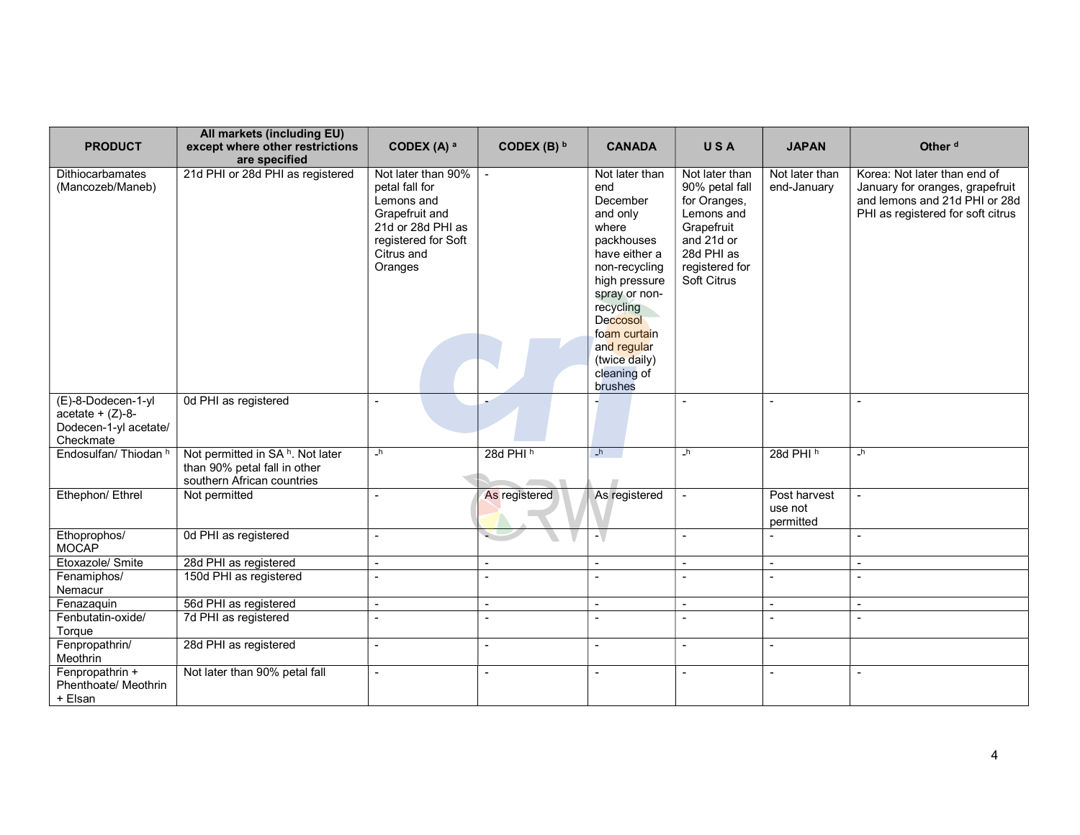| <b>PRODUCT</b>                                                                 | All markets (including EU)<br>except where other restrictions<br>are specified                             | CODEX (A) a                                                                                                                               | CODEX (B) $b$  | <b>CANADA</b>                                                                                                                                                                                                                                      | USA                                                                                                                                       | <b>JAPAN</b>                         | Other <sup>d</sup>                                                                                                                    |
|--------------------------------------------------------------------------------|------------------------------------------------------------------------------------------------------------|-------------------------------------------------------------------------------------------------------------------------------------------|----------------|----------------------------------------------------------------------------------------------------------------------------------------------------------------------------------------------------------------------------------------------------|-------------------------------------------------------------------------------------------------------------------------------------------|--------------------------------------|---------------------------------------------------------------------------------------------------------------------------------------|
| <b>Dithiocarbamates</b><br>(Mancozeb/Maneb)                                    | 21d PHI or 28d PHI as registered                                                                           | Not later than 90%<br>petal fall for<br>Lemons and<br>Grapefruit and<br>21d or 28d PHI as<br>registered for Soft<br>Citrus and<br>Oranges | $\blacksquare$ | Not later than<br>end<br>December<br>and only<br>where<br>packhouses<br>have either a<br>non-recycling<br>high pressure<br>spray or non-<br>recycling<br><b>Deccosol</b><br>foam curtain<br>and regular<br>(twice daily)<br>cleaning of<br>brushes | Not later than<br>90% petal fall<br>for Oranges,<br>Lemons and<br>Grapefruit<br>and 21d or<br>28d PHI as<br>registered for<br>Soft Citrus | Not later than<br>end-January        | Korea: Not later than end of<br>January for oranges, grapefruit<br>and lemons and 21d PHI or 28d<br>PHI as registered for soft citrus |
| (E)-8-Dodecen-1-yl<br>$acetate + (Z)-8-$<br>Dodecen-1-yl acetate/<br>Checkmate | 0d PHI as registered                                                                                       | $\overline{a}$                                                                                                                            |                |                                                                                                                                                                                                                                                    |                                                                                                                                           |                                      |                                                                                                                                       |
| Endosulfan/Thiodan <sup>h</sup>                                                | Not permitted in SA <sup>h</sup> . Not later<br>than 90% petal fall in other<br>southern African countries | h                                                                                                                                         | 28d PHI $h$    | h                                                                                                                                                                                                                                                  | $\mathsf{h}$                                                                                                                              | 28d PHI <sup>h</sup>                 | $\mathsf{h}$                                                                                                                          |
| Ethephon/ Ethrel                                                               | Not permitted                                                                                              |                                                                                                                                           | As registered  | As registered                                                                                                                                                                                                                                      | $\sim$                                                                                                                                    | Post harvest<br>use not<br>permitted | $\overline{a}$                                                                                                                        |
| Ethoprophos/<br><b>MOCAP</b>                                                   | 0d PHI as registered                                                                                       |                                                                                                                                           |                |                                                                                                                                                                                                                                                    |                                                                                                                                           |                                      |                                                                                                                                       |
| Etoxazole/ Smite                                                               | 28d PHI as registered                                                                                      | $\overline{\phantom{a}}$                                                                                                                  |                | $\blacksquare$                                                                                                                                                                                                                                     | $\sim$                                                                                                                                    | $\overline{\phantom{a}}$             | $\overline{\phantom{a}}$                                                                                                              |
| Fenamiphos/<br>Nemacur                                                         | 150d PHI as registered                                                                                     |                                                                                                                                           | $\sim$         | $\blacksquare$                                                                                                                                                                                                                                     | $\overline{\phantom{a}}$                                                                                                                  |                                      | $\overline{a}$                                                                                                                        |
| Fenazaquin                                                                     | 56d PHI as registered                                                                                      |                                                                                                                                           |                | $\blacksquare$                                                                                                                                                                                                                                     | $\overline{a}$                                                                                                                            |                                      |                                                                                                                                       |
| Fenbutatin-oxide/<br>Torque                                                    | 7d PHI as registered                                                                                       | $\overline{a}$                                                                                                                            | $\sim$         | $\sim$                                                                                                                                                                                                                                             | $\blacksquare$                                                                                                                            | $\overline{\phantom{a}}$             | $\overline{a}$                                                                                                                        |
| Fenpropathrin/<br>Meothrin                                                     | 28d PHI as registered                                                                                      | $\blacksquare$                                                                                                                            | $\blacksquare$ | $\blacksquare$                                                                                                                                                                                                                                     | $\blacksquare$                                                                                                                            | $\overline{\phantom{a}}$             |                                                                                                                                       |
| Fenpropathrin +<br>Phenthoate/ Meothrin<br>+ Elsan                             | Not later than 90% petal fall                                                                              | $\overline{a}$                                                                                                                            |                | $\sim$                                                                                                                                                                                                                                             |                                                                                                                                           | $\overline{a}$                       | $\overline{a}$                                                                                                                        |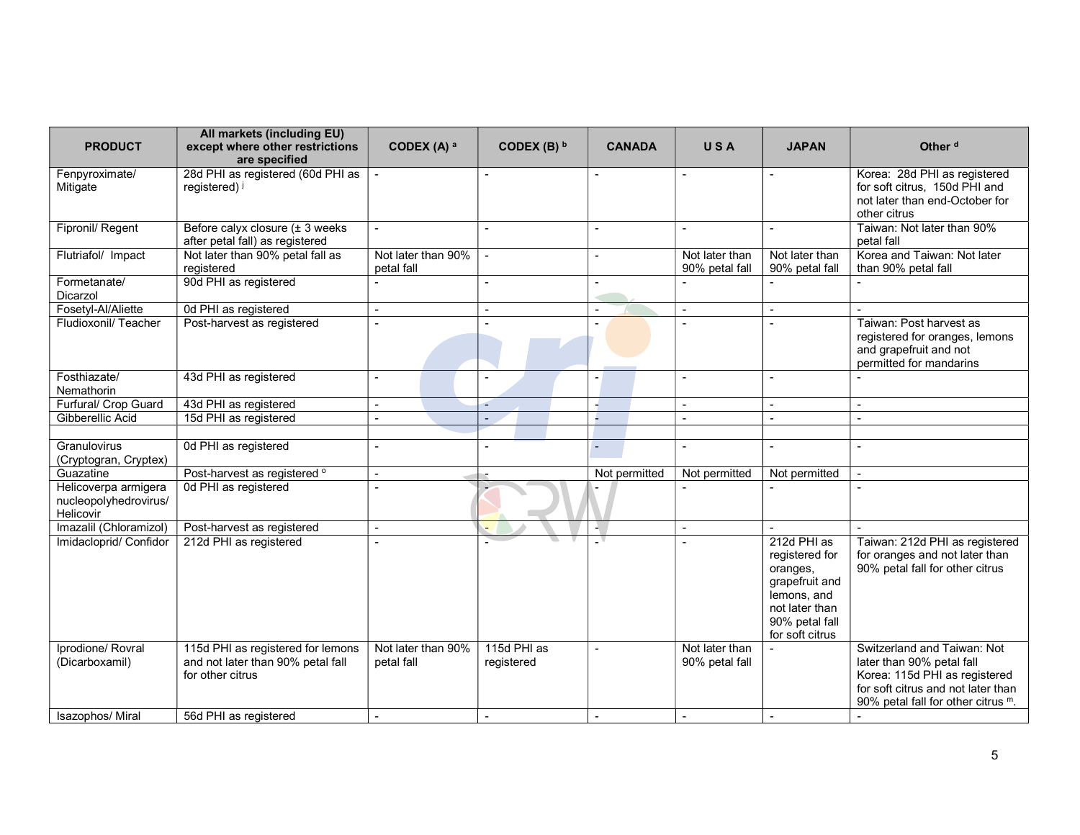| <b>PRODUCT</b>                                             | All markets (including EU)<br>except where other restrictions<br>are specified             | CODEX (A) a                      | CODEX (B) $b$             | <b>CANADA</b>            | USA                              | <b>JAPAN</b>                                                                                                                      | Other <sup>d</sup>                                                                                                                                                    |
|------------------------------------------------------------|--------------------------------------------------------------------------------------------|----------------------------------|---------------------------|--------------------------|----------------------------------|-----------------------------------------------------------------------------------------------------------------------------------|-----------------------------------------------------------------------------------------------------------------------------------------------------------------------|
| Fenpyroximate/<br>Mitigate                                 | 28d PHI as registered (60d PHI as<br>registered) i                                         |                                  |                           |                          |                                  |                                                                                                                                   | Korea: 28d PHI as registered<br>for soft citrus, 150d PHI and<br>not later than end-October for<br>other citrus                                                       |
| Fipronil/ Regent                                           | Before calyx closure (± 3 weeks<br>after petal fall) as registered                         |                                  |                           |                          |                                  |                                                                                                                                   | Taiwan: Not later than 90%<br>petal fall                                                                                                                              |
| Flutriafol/ Impact                                         | Not later than 90% petal fall as<br>registered                                             | Not later than 90%<br>petal fall | $\overline{a}$            | L.                       | Not later than<br>90% petal fall | Not later than<br>90% petal fall                                                                                                  | Korea and Taiwan: Not later<br>than 90% petal fall                                                                                                                    |
| Formetanate/<br>Dicarzol                                   | 90d PHI as registered                                                                      |                                  |                           | $\overline{\phantom{a}}$ |                                  |                                                                                                                                   |                                                                                                                                                                       |
| Fosetyl-Al/Aliette                                         | 0d PHI as registered                                                                       | $\mathbf{r}$                     | $\sim$                    | $\overline{\phantom{a}}$ | $\sim$                           | $\overline{a}$                                                                                                                    | $\sim$                                                                                                                                                                |
| Fludioxonil/Teacher                                        | Post-harvest as registered                                                                 |                                  |                           |                          |                                  |                                                                                                                                   | Taiwan: Post harvest as<br>registered for oranges, lemons<br>and grapefruit and not<br>permitted for mandarins                                                        |
| Fosthiazate/<br>Nemathorin                                 | 43d PHI as registered                                                                      | ÷                                |                           |                          |                                  | $\overline{\phantom{0}}$                                                                                                          | $\overline{a}$                                                                                                                                                        |
| Furfural/ Crop Guard                                       | 43d PHI as registered                                                                      | $\blacksquare$                   |                           |                          | $\blacksquare$                   | $\blacksquare$                                                                                                                    | $\blacksquare$                                                                                                                                                        |
| Gibberellic Acid                                           | 15d PHI as registered                                                                      |                                  |                           |                          |                                  |                                                                                                                                   |                                                                                                                                                                       |
|                                                            |                                                                                            |                                  |                           |                          |                                  |                                                                                                                                   |                                                                                                                                                                       |
| Granulovirus<br>(Cryptogran, Cryptex)                      | 0d PHI as registered                                                                       |                                  |                           | $\overline{\phantom{a}}$ | $\overline{\phantom{a}}$         |                                                                                                                                   | $\sim$                                                                                                                                                                |
| Guazatine                                                  | Post-harvest as registered °                                                               | $\overline{a}$                   |                           | Not permitted            | Not permitted                    | Not permitted                                                                                                                     | $\overline{a}$                                                                                                                                                        |
| Helicoverpa armigera<br>nucleopolyhedrovirus/<br>Helicovir | 0d PHI as registered                                                                       |                                  |                           |                          |                                  |                                                                                                                                   | $\overline{a}$                                                                                                                                                        |
| Imazalil (Chloramizol)                                     | Post-harvest as registered                                                                 |                                  |                           |                          |                                  |                                                                                                                                   |                                                                                                                                                                       |
| Imidacloprid/ Confidor                                     | 212d PHI as registered                                                                     |                                  |                           |                          |                                  | 212d PHI as<br>registered for<br>oranges,<br>grapefruit and<br>lemons, and<br>not later than<br>90% petal fall<br>for soft citrus | Taiwan: 212d PHI as registered<br>for oranges and not later than<br>90% petal fall for other citrus                                                                   |
| Iprodione/ Rovral<br>(Dicarboxamil)                        | 115d PHI as registered for lemons<br>and not later than 90% petal fall<br>for other citrus | Not later than 90%<br>petal fall | 115d PHI as<br>registered |                          | Not later than<br>90% petal fall |                                                                                                                                   | Switzerland and Taiwan: Not<br>later than 90% petal fall<br>Korea: 115d PHI as registered<br>for soft citrus and not later than<br>90% petal fall for other citrus m. |
| Isazophos/ Miral                                           | 56d PHI as registered                                                                      | $\sim$                           | $\sim$                    | $\overline{\phantom{a}}$ | $\sim$                           | $\overline{\phantom{a}}$                                                                                                          | $\overline{a}$                                                                                                                                                        |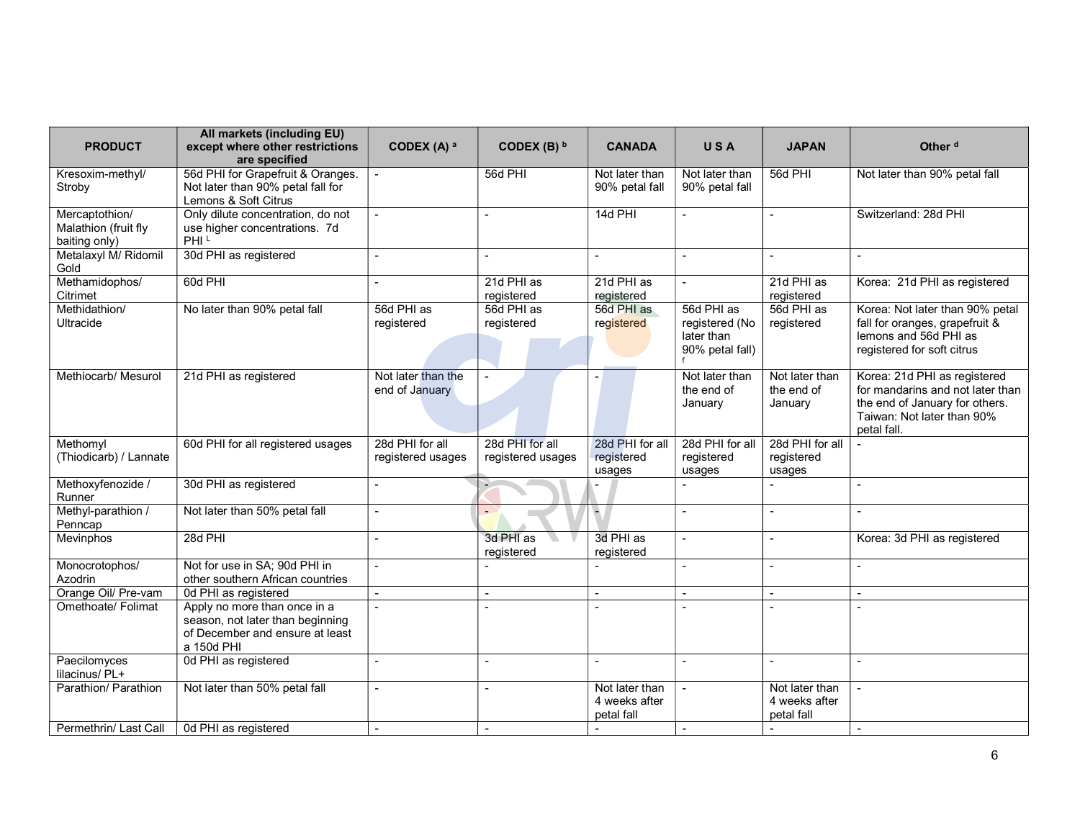| <b>PRODUCT</b>                                          | All markets (including EU)<br>except where other restrictions<br>are specified                                    | CODEX (A) a                          | CODEX (B) b                          | <b>CANADA</b>                                 | USA                                                           | <b>JAPAN</b>                                  | Other <sup>d</sup>                                                                                                                              |
|---------------------------------------------------------|-------------------------------------------------------------------------------------------------------------------|--------------------------------------|--------------------------------------|-----------------------------------------------|---------------------------------------------------------------|-----------------------------------------------|-------------------------------------------------------------------------------------------------------------------------------------------------|
| Kresoxim-methyl/<br>Stroby                              | 56d PHI for Grapefruit & Oranges.<br>Not later than 90% petal fall for<br>Lemons & Soft Citrus                    |                                      | 56d PHI                              | Not later than<br>90% petal fall              | Not later than<br>90% petal fall                              | 56d PHI                                       | Not later than 90% petal fall                                                                                                                   |
| Mercaptothion/<br>Malathion (fruit fly<br>baiting only) | Only dilute concentration, do not<br>use higher concentrations. 7d<br>PHI <sup>L</sup>                            |                                      |                                      | 14d PHI                                       | $\overline{a}$                                                |                                               | Switzerland: 28d PHI                                                                                                                            |
| Metalaxyl M/ Ridomil<br>Gold                            | 30d PHI as registered                                                                                             |                                      |                                      |                                               |                                                               |                                               |                                                                                                                                                 |
| Methamidophos/<br>Citrimet                              | 60d PHI                                                                                                           |                                      | 21d PHI as<br>registered             | 21d PHI as<br>registered                      |                                                               | 21d PHI as<br>registered                      | Korea: 21d PHI as registered                                                                                                                    |
| Methidathion/<br>Ultracide                              | No later than 90% petal fall                                                                                      | 56d PHI as<br>registered             | 56d PHI as<br>registered             | 56d PHI as<br>registered                      | 56d PHI as<br>registered (No<br>later than<br>90% petal fall) | 56d PHI as<br>registered                      | Korea: Not later than 90% petal<br>fall for oranges, grapefruit &<br>lemons and 56d PHI as<br>registered for soft citrus                        |
| Methiocarb/ Mesurol                                     | 21d PHI as registered                                                                                             | Not later than the<br>end of January |                                      |                                               | Not later than<br>the end of<br>January                       | Not later than<br>the end of<br>January       | Korea: 21d PHI as registered<br>for mandarins and not later than<br>the end of January for others.<br>Taiwan: Not later than 90%<br>petal fall. |
| Methomyl<br>(Thiodicarb) / Lannate                      | 60d PHI for all registered usages                                                                                 | 28d PHI for all<br>registered usages | 28d PHI for all<br>registered usages | 28d PHI for all<br>registered<br>usages       | 28d PHI for all<br>registered<br>usages                       | 28d PHI for all<br>registered<br>usages       |                                                                                                                                                 |
| Methoxyfenozide /<br>Runner                             | 30d PHI as registered                                                                                             | $\overline{a}$                       |                                      |                                               |                                                               | $\overline{a}$                                | $\overline{\phantom{a}}$                                                                                                                        |
| Methyl-parathion /<br>Penncap                           | Not later than 50% petal fall                                                                                     | L.                                   |                                      | ۳                                             | $\overline{a}$                                                | $\overline{a}$                                | $\overline{a}$                                                                                                                                  |
| Mevinphos                                               | 28d PHI                                                                                                           |                                      | 3d PHI as<br>registered              | 3d PHI as<br>registered                       | $\sim$                                                        |                                               | Korea: 3d PHI as registered                                                                                                                     |
| Monocrotophos/<br>Azodrin                               | Not for use in SA; 90d PHI in<br>other southern African countries                                                 | $\sim$                               |                                      |                                               | $\overline{a}$                                                | $\overline{a}$                                | $\overline{a}$                                                                                                                                  |
| Orange Oil/ Pre-vam                                     | 0d PHI as registered                                                                                              |                                      |                                      |                                               |                                                               |                                               | $\overline{a}$                                                                                                                                  |
| Omethoate/ Folimat                                      | Apply no more than once in a<br>season, not later than beginning<br>of December and ensure at least<br>a 150d PHI | $\sim$                               |                                      | $\overline{\phantom{a}}$                      |                                                               |                                               | $\sim$                                                                                                                                          |
| Paecilomyces<br>lilacinus/ PL+                          | 0d PHI as registered                                                                                              |                                      |                                      |                                               |                                                               |                                               | $\overline{\phantom{a}}$                                                                                                                        |
| Parathion/ Parathion                                    | Not later than 50% petal fall                                                                                     | $\blacksquare$                       |                                      | Not later than<br>4 weeks after<br>petal fall |                                                               | Not later than<br>4 weeks after<br>petal fall | $\overline{a}$                                                                                                                                  |
| Permethrin/ Last Call                                   | 0d PHI as registered                                                                                              | $\sim$                               | $\blacksquare$                       | $\sim$                                        | $\sim$                                                        | $\sim$                                        | $\sim$                                                                                                                                          |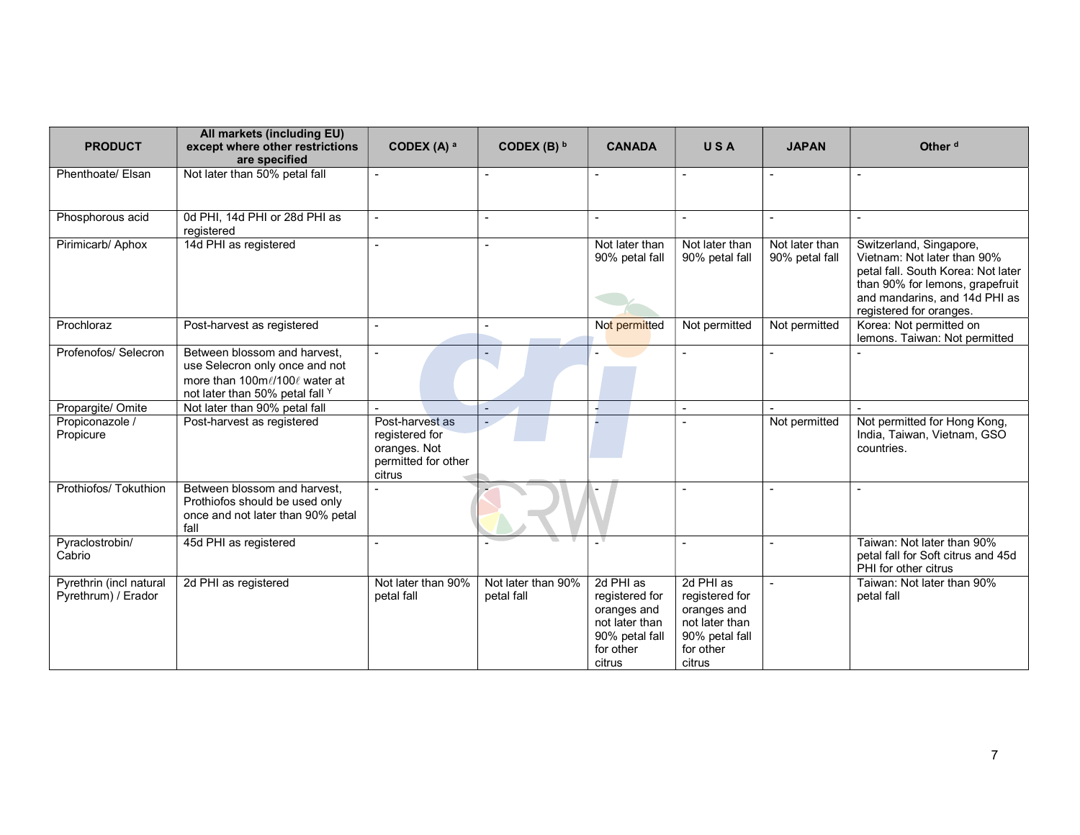| <b>PRODUCT</b>                                 | All markets (including EU)<br>except where other restrictions<br>are specified                                                     | CODEX (A) a                                                                        | CODEX (B) $b$                    | <b>CANADA</b>                                                                                         | USA                                                                                                   | <b>JAPAN</b>                     | Other <sup>d</sup>                                                                                                                                                                          |
|------------------------------------------------|------------------------------------------------------------------------------------------------------------------------------------|------------------------------------------------------------------------------------|----------------------------------|-------------------------------------------------------------------------------------------------------|-------------------------------------------------------------------------------------------------------|----------------------------------|---------------------------------------------------------------------------------------------------------------------------------------------------------------------------------------------|
| Phenthoate/ Elsan                              | Not later than 50% petal fall                                                                                                      |                                                                                    |                                  |                                                                                                       |                                                                                                       | $\blacksquare$                   |                                                                                                                                                                                             |
| Phosphorous acid                               | 0d PHI, 14d PHI or 28d PHI as<br>registered                                                                                        |                                                                                    |                                  | $\overline{\phantom{a}}$                                                                              | $\overline{a}$                                                                                        | $\blacksquare$                   | $\blacksquare$                                                                                                                                                                              |
| Pirimicarb/ Aphox                              | 14d PHI as registered                                                                                                              |                                                                                    |                                  | Not later than<br>90% petal fall                                                                      | Not later than<br>90% petal fall                                                                      | Not later than<br>90% petal fall | Switzerland, Singapore,<br>Vietnam: Not later than 90%<br>petal fall. South Korea: Not later<br>than 90% for lemons, grapefruit<br>and mandarins, and 14d PHI as<br>registered for oranges. |
| Prochloraz                                     | Post-harvest as registered                                                                                                         | $\overline{\phantom{a}}$                                                           |                                  | Not permitted                                                                                         | Not permitted                                                                                         | Not permitted                    | Korea: Not permitted on<br>lemons. Taiwan: Not permitted                                                                                                                                    |
| Profenofos/ Selecron                           | Between blossom and harvest.<br>use Selecron only once and not<br>more than 100ml/100l water at<br>not later than 50% petal fall Y |                                                                                    | ÷.                               |                                                                                                       |                                                                                                       |                                  |                                                                                                                                                                                             |
| Propargite/ Omite                              | Not later than 90% petal fall                                                                                                      |                                                                                    |                                  |                                                                                                       |                                                                                                       |                                  |                                                                                                                                                                                             |
| Propiconazole /<br>Propicure                   | Post-harvest as registered                                                                                                         | Post-harvest as<br>registered for<br>oranges. Not<br>permitted for other<br>citrus |                                  |                                                                                                       |                                                                                                       | Not permitted                    | Not permitted for Hong Kong,<br>India, Taiwan, Vietnam, GSO<br>countries.                                                                                                                   |
| Prothiofos/ Tokuthion                          | Between blossom and harvest,<br>Prothiofos should be used only<br>once and not later than 90% petal<br>fall                        |                                                                                    |                                  |                                                                                                       |                                                                                                       |                                  | $\blacksquare$                                                                                                                                                                              |
| Pyraclostrobin/<br>Cabrio                      | 45d PHI as registered                                                                                                              |                                                                                    |                                  |                                                                                                       |                                                                                                       | $\blacksquare$                   | Taiwan: Not later than 90%<br>petal fall for Soft citrus and 45d<br>PHI for other citrus                                                                                                    |
| Pyrethrin (incl natural<br>Pyrethrum) / Erador | 2d PHI as registered                                                                                                               | Not later than 90%<br>petal fall                                                   | Not later than 90%<br>petal fall | 2d PHI as<br>registered for<br>oranges and<br>not later than<br>90% petal fall<br>for other<br>citrus | 2d PHI as<br>registered for<br>oranges and<br>not later than<br>90% petal fall<br>for other<br>citrus |                                  | Taiwan: Not later than 90%<br>petal fall                                                                                                                                                    |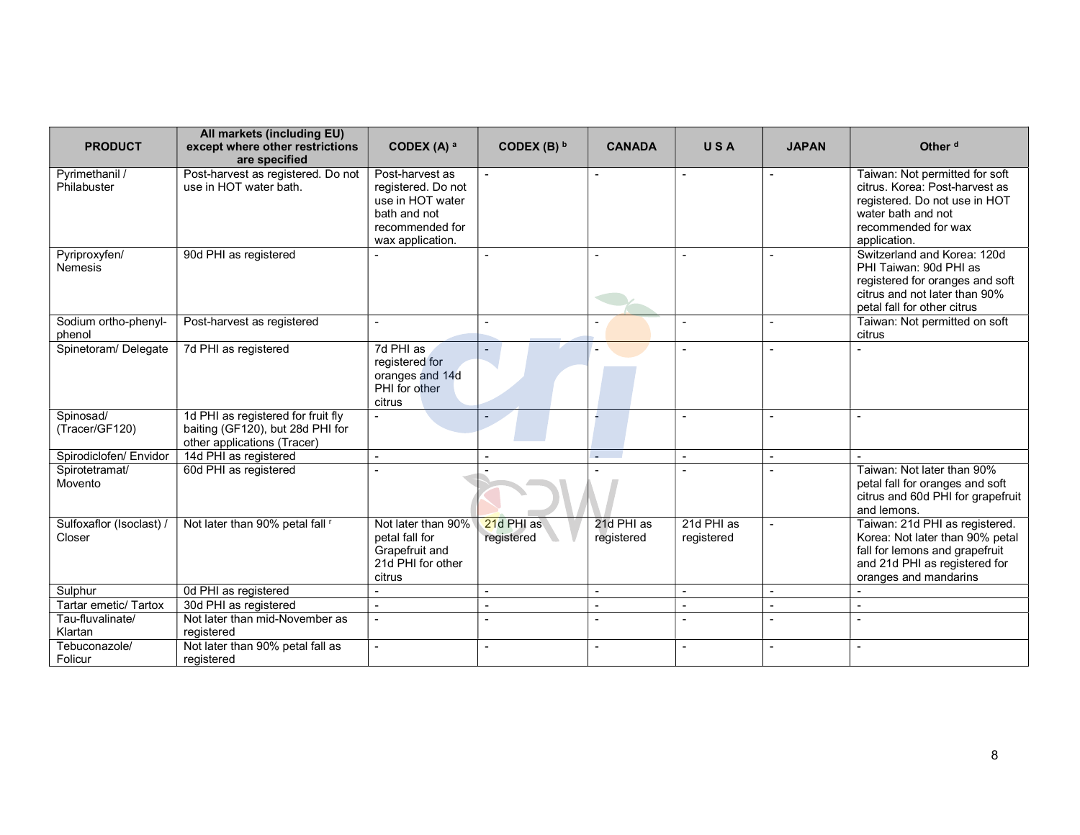| <b>PRODUCT</b>                     | All markets (including EU)<br>except where other restrictions<br>are specified                        | CODEX (A) a                                                                                                      | CODEX (B) $b$            | <b>CANADA</b>            | USA                      | <b>JAPAN</b> | Other <sup>d</sup>                                                                                                                                             |
|------------------------------------|-------------------------------------------------------------------------------------------------------|------------------------------------------------------------------------------------------------------------------|--------------------------|--------------------------|--------------------------|--------------|----------------------------------------------------------------------------------------------------------------------------------------------------------------|
| Pyrimethanil /<br>Philabuster      | Post-harvest as registered. Do not<br>use in HOT water bath.                                          | Post-harvest as<br>registered. Do not<br>use in HOT water<br>bath and not<br>recommended for<br>wax application. | $\mathbf{r}$             | $\sim$                   |                          |              | Taiwan: Not permitted for soft<br>citrus. Korea: Post-harvest as<br>registered. Do not use in HOT<br>water bath and not<br>recommended for wax<br>application. |
| Pyriproxyfen/<br><b>Nemesis</b>    | 90d PHI as registered                                                                                 |                                                                                                                  |                          |                          |                          |              | Switzerland and Korea: 120d<br>PHI Taiwan: 90d PHI as<br>registered for oranges and soft<br>citrus and not later than 90%<br>petal fall for other citrus       |
| Sodium ortho-phenyl-<br>phenol     | Post-harvest as registered                                                                            |                                                                                                                  |                          |                          |                          |              | Taiwan: Not permitted on soft<br>citrus                                                                                                                        |
| Spinetoram/ Delegate               | 7d PHI as registered                                                                                  | 7d PHI as<br>registered for<br>oranges and 14d<br>PHI for other<br>citrus                                        |                          |                          |                          |              |                                                                                                                                                                |
| Spinosad/<br>(Tracer/GF120)        | 1d PHI as registered for fruit fly<br>baiting (GF120), but 28d PHI for<br>other applications (Tracer) |                                                                                                                  |                          |                          |                          |              | $\overline{\phantom{a}}$                                                                                                                                       |
| Spirodiclofen/ Envidor             | 14d PHI as registered                                                                                 |                                                                                                                  |                          |                          |                          |              |                                                                                                                                                                |
| Spirotetramat/<br>Movento          | 60d PHI as registered                                                                                 |                                                                                                                  |                          |                          |                          |              | Taiwan: Not later than 90%<br>petal fall for oranges and soft<br>citrus and 60d PHI for grapefruit<br>and lemons.                                              |
| Sulfoxaflor (Isoclast) /<br>Closer | Not later than 90% petal fall "                                                                       | Not later than 90%<br>petal fall for<br>Grapefruit and<br>21d PHI for other<br>citrus                            | 21d PHI as<br>registered | 21d PHI as<br>registered | 21d PHI as<br>registered |              | Taiwan: 21d PHI as registered.<br>Korea: Not later than 90% petal<br>fall for lemons and grapefruit<br>and 21d PHI as registered for<br>oranges and mandarins  |
| Sulphur                            | 0d PHI as registered                                                                                  |                                                                                                                  |                          | $\overline{\phantom{a}}$ | $\overline{\phantom{a}}$ |              |                                                                                                                                                                |
| Tartar emetic/ Tartox              | 30d PHI as registered                                                                                 |                                                                                                                  |                          | $\blacksquare$           |                          |              |                                                                                                                                                                |
| Tau-fluvalinate/<br>Klartan        | Not later than mid-November as<br>registered                                                          |                                                                                                                  |                          | ٠                        | $\overline{\phantom{a}}$ |              |                                                                                                                                                                |
| Tebuconazole/<br>Folicur           | Not later than 90% petal fall as<br>reaistered                                                        |                                                                                                                  |                          | ٠                        |                          |              |                                                                                                                                                                |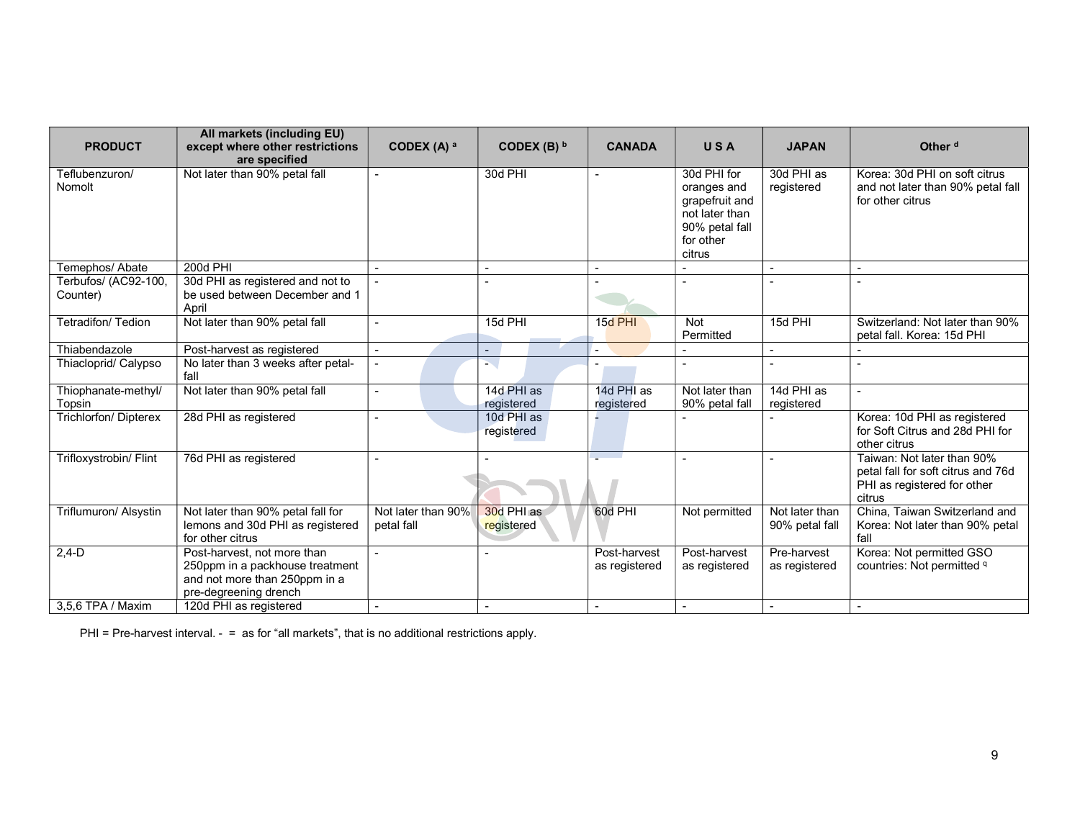| <b>PRODUCT</b>                   | All markets (including EU)<br>except where other restrictions                                                            | CODEX (A) $a$                    | CODEX (B) $b$            | <b>CANADA</b>                 | <b>USA</b>                                                                                              | <b>JAPAN</b>                     | Other <sup>d</sup>                                                                                        |
|----------------------------------|--------------------------------------------------------------------------------------------------------------------------|----------------------------------|--------------------------|-------------------------------|---------------------------------------------------------------------------------------------------------|----------------------------------|-----------------------------------------------------------------------------------------------------------|
|                                  | are specified                                                                                                            |                                  |                          |                               |                                                                                                         |                                  |                                                                                                           |
| Teflubenzuron/<br>Nomolt         | Not later than 90% petal fall                                                                                            |                                  | 30d PHI                  |                               | 30d PHI for<br>oranges and<br>grapefruit and<br>not later than<br>90% petal fall<br>for other<br>citrus | 30d PHI as<br>registered         | Korea: 30d PHI on soft citrus<br>and not later than 90% petal fall<br>for other citrus                    |
| Temephos/ Abate                  | 200d PHI                                                                                                                 |                                  |                          |                               |                                                                                                         |                                  |                                                                                                           |
| Terbufos/ (AC92-100,<br>Counter) | 30d PHI as registered and not to<br>be used between December and 1<br>April                                              |                                  |                          |                               |                                                                                                         |                                  |                                                                                                           |
| Tetradifon/ Tedion               | Not later than 90% petal fall                                                                                            |                                  | 15d PHI                  | 15d PHI                       | <b>Not</b><br>Permitted                                                                                 | 15d PHI                          | Switzerland: Not later than 90%<br>petal fall. Korea: 15d PHI                                             |
| Thiabendazole                    | Post-harvest as registered                                                                                               |                                  | $\sim$                   |                               |                                                                                                         | $\overline{\phantom{a}}$         |                                                                                                           |
| Thiacloprid/ Calypso             | No later than 3 weeks after petal-<br>fall                                                                               |                                  | s.                       |                               |                                                                                                         |                                  |                                                                                                           |
| Thiophanate-methyl/<br>Topsin    | Not later than 90% petal fall                                                                                            |                                  | 14d PHI as<br>registered | 14d PHI as<br>registered      | Not later than<br>90% petal fall                                                                        | 14d PHI as<br>registered         |                                                                                                           |
| <b>Trichlorfon/ Dipterex</b>     | 28d PHI as registered                                                                                                    |                                  | 10d PHI as<br>registered |                               |                                                                                                         |                                  | Korea: 10d PHI as registered<br>for Soft Citrus and 28d PHI for<br>other citrus                           |
| Trifloxystrobin/ Flint           | 76d PHI as registered                                                                                                    |                                  |                          |                               |                                                                                                         |                                  | Taiwan: Not later than 90%<br>petal fall for soft citrus and 76d<br>PHI as registered for other<br>citrus |
| Triflumuron/ Alsystin            | Not later than 90% petal fall for<br>lemons and 30d PHI as registered<br>for other citrus                                | Not later than 90%<br>petal fall | 30d PHI as<br>registered | 60d PHI                       | Not permitted                                                                                           | Not later than<br>90% petal fall | China, Taiwan Switzerland and<br>Korea: Not later than 90% petal<br>fall                                  |
| $2,4-D$                          | Post-harvest, not more than<br>250ppm in a packhouse treatment<br>and not more than 250ppm in a<br>pre-degreening drench |                                  |                          | Post-harvest<br>as registered | Post-harvest<br>as registered                                                                           | Pre-harvest<br>as registered     | Korea: Not permitted GSO<br>countries: Not permitted <sup>q</sup>                                         |
| 3.5.6 TPA / Maxim                | 120d PHI as registered                                                                                                   |                                  |                          |                               |                                                                                                         |                                  |                                                                                                           |

PHI = Pre-harvest interval. - = as for "all markets", that is no additional restrictions apply.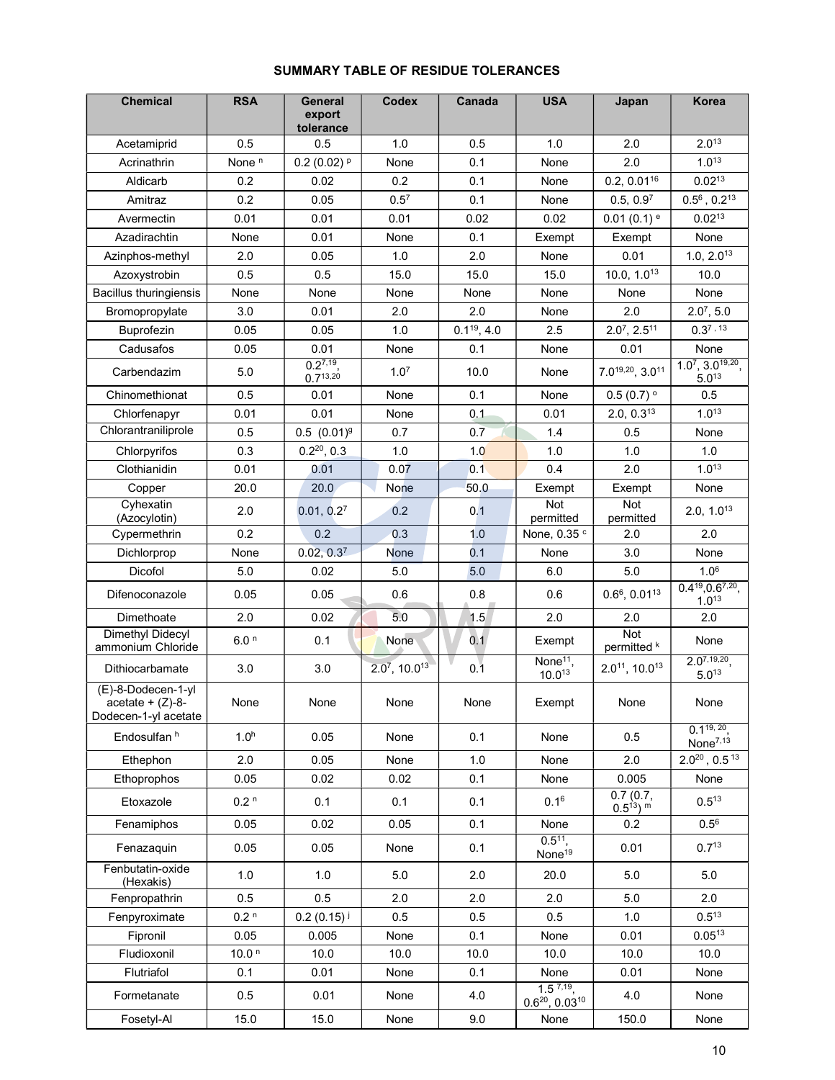# SUMMARY TABLE OF RESIDUE TOLERANCES

| <b>Chemical</b>                                                  | <b>RSA</b>        | General<br>export<br>tolerance | <b>Codex</b>                | Canada           | <b>USA</b>                               | Japan                                | Korea                                             |
|------------------------------------------------------------------|-------------------|--------------------------------|-----------------------------|------------------|------------------------------------------|--------------------------------------|---------------------------------------------------|
| Acetamiprid                                                      | 0.5               | 0.5                            | 1.0                         | 0.5              | 1.0                                      | 2.0                                  | $2.0^{13}$                                        |
| Acrinathrin                                                      | None <sup>n</sup> | $0.2(0.02)$ <sup>p</sup>       | None                        | 0.1              | None                                     | 2.0                                  | $1.0^{13}$                                        |
| Aldicarb                                                         | 0.2               | 0.02                           | 0.2                         | 0.1              | None                                     | $0.2, 0.01^{16}$                     | $0.02^{13}$                                       |
| Amitraz                                                          | 0.2               | 0.05                           | 0.5 <sup>7</sup>            | 0.1              | None                                     | 0.5, 0.9 <sup>7</sup>                | $0.5^6$ , $0.2^{13}$                              |
| Avermectin                                                       | 0.01              | 0.01                           | 0.01                        | 0.02             | 0.02                                     | $0.01(0.1)$ <sup>e</sup>             | $0.02^{13}$                                       |
| Azadirachtin                                                     | None              | 0.01                           | None                        | 0.1              | Exempt                                   | Exempt                               | None                                              |
| Azinphos-methyl                                                  | 2.0               | 0.05                           | 1.0                         | 2.0              | None                                     | 0.01                                 | 1.0, 2.0 <sup>13</sup>                            |
| Azoxystrobin                                                     | 0.5               | 0.5                            | 15.0                        | 15.0             | 15.0                                     | 10.0, $1.0^{13}$                     | 10.0                                              |
| <b>Bacillus thuringiensis</b>                                    | None              | None                           | None                        | None             | None                                     | None                                 | None                                              |
| Bromopropylate                                                   | 3.0               | 0.01                           | 2.0                         | 2.0              | None                                     | 2.0                                  | $2.0^7, 5.0$                                      |
| <b>Buprofezin</b>                                                | 0.05              | 0.05                           | 1.0                         | $0.1^{19}$ , 4.0 | 2.5                                      | $2.0^7$ , $2.5^{11}$                 | $0.3^{7}$ , 13                                    |
| Cadusafos                                                        | 0.05              | 0.01                           | None                        | 0.1              | None                                     | 0.01                                 | None                                              |
| Carbendazim                                                      | 5.0               | $0.2^{7,19}$<br>$0.7^{13,20}$  | 1.0 <sup>7</sup>            | 10.0             | None                                     | $7.0^{19,20}$ , 3.0 <sup>11</sup>    | $1.0^7$ , $3.0^{19,20}$ ,<br>$5.0^{13}$           |
| Chinomethionat                                                   | 0.5               | 0.01                           | None                        | 0.1              | None                                     | $0.5(0.7)$ <sup>o</sup>              | 0.5                                               |
| Chlorfenapyr                                                     | 0.01              | 0.01                           | None                        | 0.1              | 0.01                                     | 2.0, 0.3 <sup>13</sup>               | $1.0^{13}$                                        |
| Chlorantraniliprole                                              | 0.5               | $0.5$ $(0.01)^{9}$             | 0.7                         | 0.7              | 1.4                                      | 0.5                                  | None                                              |
| Chlorpyrifos                                                     | 0.3               | $0.2^{20}$ , 0.3               | 1.0                         | 1.0              | 1.0                                      | 1.0                                  | 1.0                                               |
| Clothianidin                                                     | 0.01              | 0.01                           | 0.07                        | 0.1              | 0.4                                      | 2.0                                  | $1.0^{13}$                                        |
| Copper                                                           | 20.0              | 20.0                           | <b>None</b>                 | 50.0             | Exempt                                   | Exempt                               | None                                              |
| Cyhexatin<br>(Azocylotin)                                        | 2.0               | 0.01, 0.2 <sup>7</sup>         | 0.2                         | 0.1              | Not<br>permitted                         | <b>Not</b><br>permitted              | 2.0, 1.0 <sup>13</sup>                            |
| Cypermethrin                                                     | 0.2               | 0.2                            | 0.3                         | 1.0              | None, 0.35 c                             | 2.0                                  | 2.0                                               |
| Dichlorprop                                                      | None              | 0.02, 0.3 <sup>7</sup>         | <b>None</b>                 | 0.1              | None                                     | 3.0                                  | None                                              |
| Dicofol                                                          | 5.0               | 0.02                           | 5.0                         | 5.0              | 6.0                                      | 5.0                                  | 1.0 <sup>6</sup>                                  |
| Difenoconazole                                                   | 0.05              | 0.05                           | 0.6                         | 0.8              | 0.6                                      | $0.66$ , $0.0113$                    | $0.4^{19}$ , 0.6 <sup>7, 20</sup> ,<br>$1.0^{13}$ |
| Dimethoate                                                       | 2.0               | 0.02                           | 5.0                         | 1.5              | 2.0                                      | 2.0                                  | 2.0                                               |
| <b>Dimethyl Didecyl</b><br>ammonium Chloride                     | 6.0 <sup>n</sup>  | 0.1                            | None                        | 0.1              | Exempt                                   | <b>Not</b><br>permitted <sup>k</sup> | None                                              |
| Dithiocarbamate                                                  | 3.0               | 3.0                            | $2.07$ , 10.0 <sup>13</sup> | 0.1              | None <sup>11</sup> ,<br>10.013           | $2.0^{11}$ , 10.0 <sup>13</sup>      | $2.0^{7,19,20}$<br>$5.0^{13}$                     |
| (E)-8-Dodecen-1-yl<br>$acetate + (Z)-8-$<br>Dodecen-1-yl acetate | None              | None                           | None                        | None             | Exempt                                   | None                                 | None                                              |
| Endosulfan h                                                     | 1.0 <sup>h</sup>  | 0.05                           | None                        | 0.1              | None                                     | 0.5                                  | $0.1^{19, 20}$<br>None <sup>7,13</sup>            |
| Ethephon                                                         | 2.0               | 0.05                           | None                        | 1.0              | None                                     | 2.0                                  | $2.0^{20}$ , 0.5 <sup>13</sup>                    |
| Ethoprophos                                                      | 0.05              | 0.02                           | 0.02                        | 0.1              | None                                     | 0.005                                | None                                              |
| Etoxazole                                                        | 0.2 <sup>n</sup>  | 0.1                            | 0.1                         | 0.1              | $0.1^{6}$                                | 0.7(0.7,<br>$0.5^{13}$ ) m           | $0.5^{13}$                                        |
| Fenamiphos                                                       | 0.05              | 0.02                           | 0.05                        | 0.1              | None                                     | 0.2                                  | $0.5^{6}$                                         |
| Fenazaquin                                                       | 0.05              | 0.05                           | None                        | 0.1              | $0.5^{11}$<br>None <sup>19</sup>         | 0.01                                 | $0.7^{13}$                                        |
| Fenbutatin-oxide<br>(Hexakis)                                    | 1.0               | 1.0                            | 5.0                         | 2.0              | 20.0                                     | 5.0                                  | 5.0                                               |
| Fenpropathrin                                                    | 0.5               | 0.5                            | 2.0                         | 2.0              | 2.0                                      | 5.0                                  | 2.0                                               |
| Fenpyroximate                                                    | 0.2 <sup>n</sup>  | 0.2(0.15)                      | 0.5                         | 0.5              | 0.5                                      | 1.0                                  | $0.5^{13}$                                        |
| Fipronil                                                         | 0.05              | 0.005                          | None                        | 0.1              | None                                     | 0.01                                 | $0.05^{13}$                                       |
| Fludioxonil                                                      | 10.0 <sup>n</sup> | 10.0                           | 10.0                        | 10.0             | 10.0                                     | 10.0                                 | 10.0                                              |
| Flutriafol                                                       | 0.1               | 0.01                           | None                        | 0.1              | None                                     | 0.01                                 | None                                              |
| Formetanate                                                      | 0.5               | 0.01                           | None                        | 4.0              | $1.5^{7,19}$<br>$0.6^{20}$ , $0.03^{10}$ | 4.0                                  | None                                              |
| Fosetyl-Al                                                       | 15.0              | 15.0                           | None                        | 9.0              | None                                     | 150.0                                | None                                              |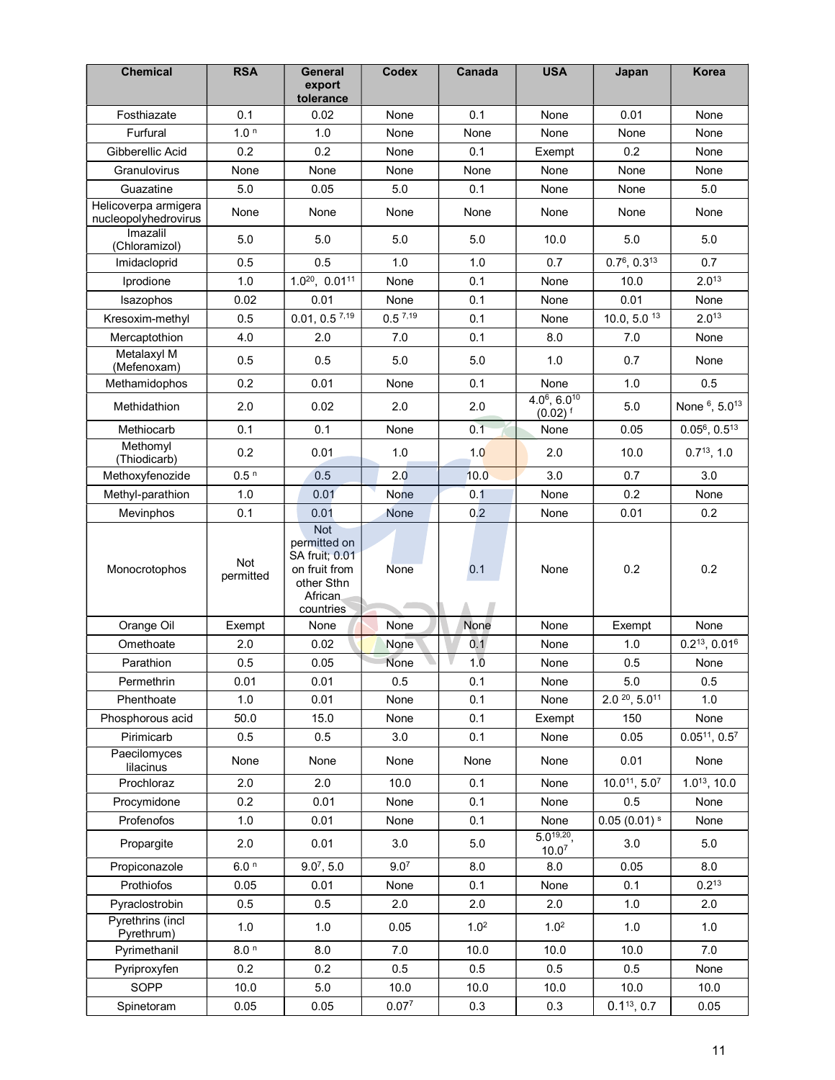| <b>Chemical</b>                              | <b>RSA</b>       | <b>General</b><br>export<br>tolerance                                                                      | <b>Codex</b>      | Canada           | <b>USA</b>                                          | Japan                    | <b>Korea</b>          |
|----------------------------------------------|------------------|------------------------------------------------------------------------------------------------------------|-------------------|------------------|-----------------------------------------------------|--------------------------|-----------------------|
| Fosthiazate                                  | 0.1              | 0.02                                                                                                       | None              | 0.1              | None                                                | 0.01                     | None                  |
| Furfural                                     | 1.0 <sup>n</sup> | 1.0                                                                                                        | None              | None             | None                                                | None                     | None                  |
| Gibberellic Acid                             | 0.2              | 0.2                                                                                                        | None              | 0.1              | Exempt                                              | 0.2                      | None                  |
| Granulovirus                                 | None             | None                                                                                                       | None              | None             | None                                                | None                     | None                  |
| Guazatine                                    | 5.0              | 0.05                                                                                                       | 5.0               | 0.1              | None                                                | None                     | 5.0                   |
| Helicoverpa armigera<br>nucleopolyhedrovirus | None             | None                                                                                                       | None              | None             | None                                                | None                     | None                  |
| Imazalil<br>(Chloramizol)                    | 5.0              | 5.0                                                                                                        | 5.0               | 5.0              | 10.0                                                | 5.0                      | 5.0                   |
| Imidacloprid                                 | 0.5              | 0.5                                                                                                        | 1.0               | 1.0              | 0.7                                                 | $0.7^6$ , $0.3^{13}$     | 0.7                   |
| Iprodione                                    | 1.0              | $1.0^{20}$ , $0.01^{11}$                                                                                   | None              | 0.1              | None                                                | 10.0                     | $2.0^{13}$            |
| Isazophos                                    | 0.02             | 0.01                                                                                                       | None              | 0.1              | None                                                | 0.01                     | None                  |
| Kresoxim-methyl                              | 0.5              | $0.01, 0.5$ 7,19                                                                                           | 0.57,19           | 0.1              | None                                                | 10.0, 5.0 $13$           | $2.0^{13}$            |
| Mercaptothion                                | 4.0              | 2.0                                                                                                        | 7.0               | 0.1              | 8.0                                                 | 7.0                      | None                  |
| Metalaxyl M<br>(Mefenoxam)                   | 0.5              | 0.5                                                                                                        | 5.0               | 5.0              | 1.0                                                 | 0.7                      | None                  |
| Methamidophos                                | 0.2              | 0.01                                                                                                       | None              | 0.1              | None                                                | 1.0                      | 0.5                   |
| Methidathion                                 | 2.0              | 0.02                                                                                                       | 2.0               | 2.0              | $4.06$ , 6.0 <sup>10</sup><br>$(0.02)$ <sup>f</sup> | 5.0                      | None 6, 5.013         |
| Methiocarb                                   | 0.1              | 0.1                                                                                                        | None              | 0.1              | None                                                | 0.05                     | $0.05^6$ , $0.5^{13}$ |
| Methomyl<br>(Thiodicarb)                     | 0.2              | 0.01                                                                                                       | 1.0               | 1.0              | 2.0                                                 | 10.0                     | $0.7^{13}$ , 1.0      |
| Methoxyfenozide                              | 0.5 <sup>n</sup> | 0.5                                                                                                        | 2.0               | 10.0             | 3.0                                                 | 0.7                      | 3.0                   |
| Methyl-parathion                             | 1.0              | 0.01                                                                                                       | None              | 0.1              | None                                                | 0.2                      | None                  |
| Mevinphos                                    | 0.1              | 0.01                                                                                                       | <b>None</b>       | 0.2              | None                                                | 0.01                     | 0.2                   |
| Monocrotophos                                | Not<br>permitted | <b>Not</b><br>permitted on<br><b>SA fruit; 0.01</b><br>on fruit from<br>other Sthn<br>African<br>countries | None              | 0.1              | None                                                | 0.2                      | 0.2                   |
| Orange Oil                                   | Exempt           | None                                                                                                       | None              | None             | None                                                | Exempt                   | None                  |
| Omethoate                                    | 2.0              | 0.02                                                                                                       | None              | 0.1              | None                                                | 1.0                      | $0.2^{13}$ , $0.01^6$ |
| Parathion                                    | 0.5              | 0.05                                                                                                       | None              | 1.0              | None                                                | 0.5                      | None                  |
| Permethrin                                   | 0.01             | 0.01                                                                                                       | 0.5               | 0.1              | None                                                | 5.0                      | 0.5                   |
| Phenthoate                                   | 1.0              | 0.01                                                                                                       | None              | 0.1              | None                                                | $2.0\frac{20}{1}, 5.011$ | 1.0                   |
| Phosphorous acid                             | 50.0             | 15.0                                                                                                       | None              | 0.1              | Exempt                                              | 150                      | None                  |
| Pirimicarb                                   | 0.5              | 0.5                                                                                                        | 3.0               | 0.1              | None                                                | 0.05                     | $0.05^{11}, 0.5^7$    |
| Paecilomyces<br>lilacinus                    | None             | None                                                                                                       | None              | None             | None                                                | 0.01                     | None                  |
| Prochloraz                                   | 2.0              | 2.0                                                                                                        | 10.0              | 0.1              | None                                                | $10.0^{11}, 5.0^{7}$     | $1.0^{13}$ , 10.0     |
| Procymidone                                  | 0.2              | 0.01                                                                                                       | None              | 0.1              | None                                                | 0.5                      | None                  |
| Profenofos                                   | 1.0              | 0.01                                                                                                       | None              | 0.1              | None                                                | $0.05(0.01)^{s}$         | None                  |
| Propargite                                   | 2.0              | 0.01                                                                                                       | 3.0               | 5.0              | $5.0^{19,20}$ ,<br>10.0 <sup>7</sup>                | 3.0                      | 5.0                   |
| Propiconazole                                | 6.0 <sup>n</sup> | $9.0^7, 5.0$                                                                                               | 9.0 <sup>7</sup>  | 8.0              | 8.0                                                 | 0.05                     | 8.0                   |
| Prothiofos                                   | 0.05             | 0.01                                                                                                       | None              | 0.1              | None                                                | 0.1                      | $0.2^{13}$            |
| Pyraclostrobin                               | 0.5              | 0.5                                                                                                        | 2.0               | 2.0              | 2.0                                                 | 1.0                      | 2.0                   |
| Pyrethrins (incl<br>Pyrethrum)               | 1.0              | 1.0                                                                                                        | 0.05              | 1.0 <sup>2</sup> | 1.0 <sup>2</sup>                                    | 1.0                      | 1.0                   |
| Pyrimethanil                                 | 8.0 <sup>n</sup> | 8.0                                                                                                        | 7.0               | 10.0             | 10.0                                                | 10.0                     | 7.0                   |
| Pyriproxyfen                                 | 0.2              | 0.2                                                                                                        | 0.5               | 0.5              | 0.5                                                 | 0.5                      | None                  |
| SOPP                                         | 10.0             | 5.0                                                                                                        | 10.0              | 10.0             | 10.0                                                | 10.0                     | 10.0                  |
| Spinetoram                                   | 0.05             | 0.05                                                                                                       | 0.07 <sup>7</sup> | 0.3              | 0.3                                                 | $0.1^{13}, 0.7$          | 0.05                  |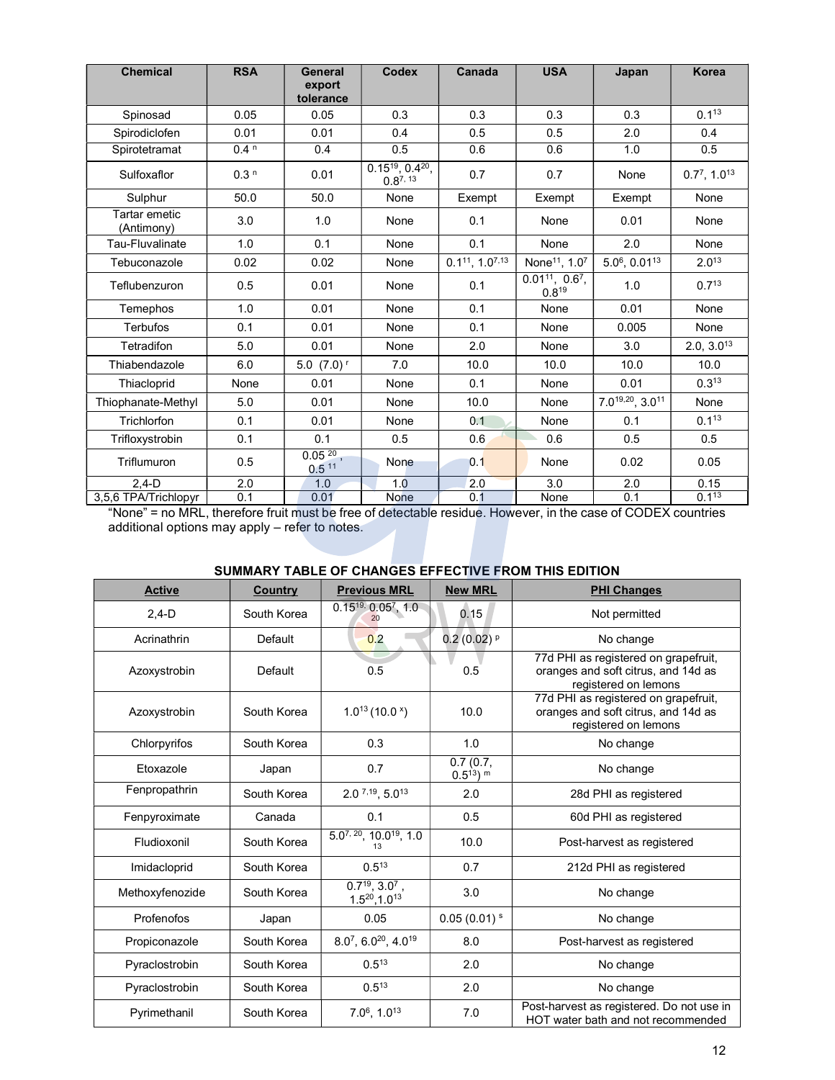| <b>Chemical</b>             | <b>RSA</b>       | General<br>export<br>tolerance | Codex                                         | Canada                    | <b>USA</b>                                     | Japan                 | <b>Korea</b>               |
|-----------------------------|------------------|--------------------------------|-----------------------------------------------|---------------------------|------------------------------------------------|-----------------------|----------------------------|
| Spinosad                    | 0.05             | 0.05                           | 0.3                                           | 0.3                       | 0.3                                            | 0.3                   | $0.1^{13}$                 |
| Spirodiclofen               | 0.01             | 0.01                           | 0.4                                           | 0.5                       | 0.5                                            | 2.0                   | 0.4                        |
| Spirotetramat               | 0.4 <sup>n</sup> | 0.4                            | 0.5                                           | 0.6                       | 0.6                                            | 1.0                   | 0.5                        |
| Sulfoxaflor                 | 0.3 <sup>n</sup> | 0.01                           | $0.15^{19}$ , 0.4 <sup>20</sup> ,<br>0.87, 13 | 0.7                       | 0.7                                            | None                  | $0.77$ , 1.0 <sup>13</sup> |
| Sulphur                     | 50.0             | 50.0                           | None                                          | Exempt                    | Exempt                                         | Exempt                | None                       |
| Tartar emetic<br>(Antimony) | 3.0              | 1.0                            | None                                          | 0.1                       | None                                           | 0.01                  | None                       |
| Tau-Fluvalinate             | 1.0              | 0.1                            | None                                          | 0.1                       | None                                           | 2.0                   | None                       |
| Tebuconazole                | 0.02             | 0.02                           | None                                          | $0.1^{11}$ , $1.0^{7,13}$ | None <sup>11</sup> , 1.07                      | $5.0^6$ , $0.01^{13}$ | $2.0^{13}$                 |
| Teflubenzuron               | 0.5              | 0.01                           | None                                          | 0.1                       | $0.01^{11}$ , 0.6 <sup>7</sup> ,<br>$0.8^{19}$ | 1.0                   | $0.7^{13}$                 |
| Temephos                    | 1.0              | 0.01                           | None                                          | 0.1                       | None                                           | 0.01                  | None                       |
| <b>Terbufos</b>             | 0.1              | 0.01                           | None                                          | 0.1                       | None                                           | 0.005                 | None                       |
| Tetradifon                  | 5.0              | 0.01                           | None                                          | 2.0                       | None                                           | 3.0                   | 2.0, 3.0 <sup>13</sup>     |
| Thiabendazole               | 6.0              | $5.0$ $(7.0)$ <sup>r</sup>     | 7.0                                           | 10.0                      | 10.0                                           | 10.0                  | 10.0                       |
| Thiacloprid                 | None             | 0.01                           | None                                          | 0.1                       | None                                           | 0.01                  | $0.3^{13}$                 |
| Thiophanate-Methyl          | 5.0              | 0.01                           | None                                          | 10.0                      | None                                           | 7.019,20, 3.011       | None                       |
| Trichlorfon                 | 0.1              | 0.01                           | None                                          | 0.1                       | None                                           | 0.1                   | $0.1^{13}$                 |
| Trifloxystrobin             | 0.1              | 0.1                            | 0.5                                           | 0.6                       | 0.6                                            | 0.5                   | 0.5                        |
| Triflumuron                 | 0.5              | $0.05^{20}$ ,<br>0.511         | None                                          | 0.1                       | None                                           | 0.02                  | 0.05                       |
| $2.4-D$                     | 2.0              | 1.0                            | 1.0                                           | 2.0                       | 3.0                                            | 2.0                   | 0.15                       |
| 3,5,6 TPA/Trichlopyr        | 0.1              | 0.01                           | <b>None</b>                                   | 0.1                       | None                                           | 0.1                   | 0.113                      |

"None" = no MRL, therefore fruit must be free of detectable residue. However, in the case of CODEX countries additional options may apply – refer to notes.

## SUMMARY TABLE OF CHANGES EFFECTIVE FROM THIS EDITION

| <b>Active</b>   | <b>Country</b> | <b>Previous MRL</b>                           | <b>New MRL</b>             | <b>PHI Changes</b>                                                                                  |
|-----------------|----------------|-----------------------------------------------|----------------------------|-----------------------------------------------------------------------------------------------------|
| $2,4-D$         | South Korea    | $0.15^{19}$ , $0.05^7$ , 1.0<br>20            | 0.15                       | Not permitted                                                                                       |
| Acrinathrin     | Default        | 0.2                                           | $0.2(0.02)$ P              | No change                                                                                           |
| Azoxystrobin    | Default        | 0.5                                           | 0.5                        | 77d PHI as registered on grapefruit,<br>oranges and soft citrus, and 14d as<br>registered on lemons |
| Azoxystrobin    | South Korea    | $1.0^{13}$ (10.0 $^x$ )                       | 10.0                       | 77d PHI as registered on grapefruit,<br>oranges and soft citrus, and 14d as<br>registered on lemons |
| Chlorpyrifos    | South Korea    | 0.3                                           | 1.0                        | No change                                                                                           |
| Etoxazole       | Japan          | 0.7                                           | 0.7(0.7)<br>$0.5^{13}$ ) m | No change                                                                                           |
| Fenpropathrin   | South Korea    | $2.0^{7,19}, 5.0^{13}$                        | 2.0                        | 28d PHI as registered                                                                               |
| Fenpyroximate   | Canada         | 0.1                                           | 0.5                        | 60d PHI as registered                                                                               |
| Fludioxonil     | South Korea    | $5.0^{7, 20}, 10.0^{19}, 1.0$<br>13           | 10.0                       | Post-harvest as registered                                                                          |
| Imidacloprid    | South Korea    | $0.5^{13}$                                    | 0.7                        | 212d PHI as registered                                                                              |
| Methoxyfenozide | South Korea    | $0.7^{19}, 3.0^{7}$ ,<br>$1.5^{20}, 1.0^{13}$ | 3.0                        | No change                                                                                           |
| Profenofos      | Japan          | 0.05                                          | $0.05(0.01)^s$             | No change                                                                                           |
| Propiconazole   | South Korea    | 8.07, 6.0 <sup>20</sup> , 4.0 <sup>19</sup>   | 8.0                        | Post-harvest as registered                                                                          |
| Pyraclostrobin  | South Korea    | $0.5^{13}$                                    | 2.0                        | No change                                                                                           |
| Pyraclostrobin  | South Korea    | $0.5^{13}$                                    | 2.0                        | No change                                                                                           |
| Pyrimethanil    | South Korea    | 7.06, 1.013                                   | 7.0                        | Post-harvest as registered. Do not use in<br>HOT water bath and not recommended                     |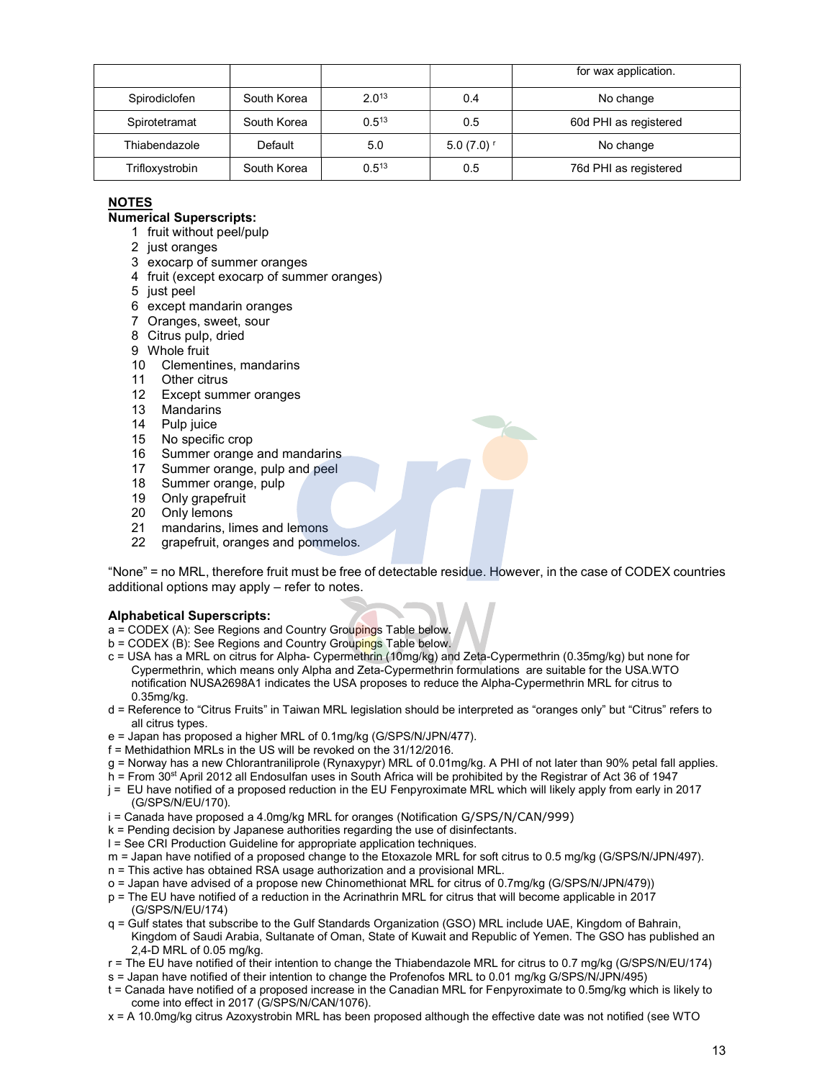|                 |             |            |                         | for wax application.  |
|-----------------|-------------|------------|-------------------------|-----------------------|
| Spirodiclofen   | South Korea | 2.013      | 0.4                     | No change             |
| Spirotetramat   | South Korea | $0.5^{13}$ | 0.5                     | 60d PHI as registered |
| Thiabendazole   | Default     | 5.0        | $5.0(7.0)$ <sup>r</sup> | No change             |
| Trifloxystrobin | South Korea | $0.5^{13}$ | 0.5                     | 76d PHI as registered |

## NOTES

## Numerical Superscripts:

- 1 fruit without peel/pulp
- 2 just oranges
- 3 exocarp of summer oranges
- 4 fruit (except exocarp of summer oranges)
- 5 just peel
- 6 except mandarin oranges
- 7 Oranges, sweet, sour
- 8 Citrus pulp, dried
- 9 Whole fruit
- 10 Clementines, mandarins
- 11 Other citrus
- 12 Except summer oranges
- 13 Mandarins
- 14 Pulp juice
- 15 No specific crop
- 16 Summer orange and mandarins
- 17 Summer orange, pulp and peel
- 18 Summer orange, pulp
- 19 Only grapefruit
- 20 Only lemons<br>21 mandarins. li
- mandarins, limes and lemons
- 22 grapefruit, oranges and pommelos.

"None" = no MRL, therefore fruit must be free of detectable residue. However, in the case of CODEX countries additional options may apply – refer to notes.

### Alphabetical Superscripts:

- a = CODEX (A): See Regions and Country Groupings Table below.
- b = CODEX (B): See Regions and Country Groupings Table below.
- c = USA has a MRL on citrus for Alpha- Cypermethrin (10mg/kg) and Zeta-Cypermethrin (0.35mg/kg) but none for Cypermethrin, which means only Alpha and Zeta-Cypermethrin formulations are suitable for the USA.WTO notification NUSA2698A1 indicates the USA proposes to reduce the Alpha-Cypermethrin MRL for citrus to 0.35mg/kg.
- d = Reference to "Citrus Fruits" in Taiwan MRL legislation should be interpreted as "oranges only" but "Citrus" refers to all citrus types.
- e = Japan has proposed a higher MRL of 0.1mg/kg (G/SPS/N/JPN/477).
- f = Methidathion MRLs in the US will be revoked on the 31/12/2016.
- g = Norway has a new Chlorantraniliprole (Rynaxypyr) MRL of 0.01mg/kg. A PHI of not later than 90% petal fall applies.
- h = From 30<sup>st</sup> April 2012 all Endosulfan uses in South Africa will be prohibited by the Registrar of Act 36 of 1947
- j = EU have notified of a proposed reduction in the EU Fenpyroximate MRL which will likely apply from early in 2017 (G/SPS/N/EU/170).
- i = Canada have proposed a 4.0mg/kg MRL for oranges (Notification G/SPS/N/CAN/999)
- k = Pending decision by Japanese authorities regarding the use of disinfectants.
- l = See CRI Production Guideline for appropriate application techniques.
- m = Japan have notified of a proposed change to the Etoxazole MRL for soft citrus to 0.5 mg/kg (G/SPS/N/JPN/497).
- n = This active has obtained RSA usage authorization and a provisional MRL.
- o = Japan have advised of a propose new Chinomethionat MRL for citrus of 0.7mg/kg (G/SPS/N/JPN/479))
- p = The EU have notified of a reduction in the Acrinathrin MRL for citrus that will become applicable in 2017 (G/SPS/N/EU/174)
- q = Gulf states that subscribe to the Gulf Standards Organization (GSO) MRL include UAE, Kingdom of Bahrain, Kingdom of Saudi Arabia, Sultanate of Oman, State of Kuwait and Republic of Yemen. The GSO has published an 2,4-D MRL of 0.05 mg/kg.
- r = The EU have notified of their intention to change the Thiabendazole MRL for citrus to 0.7 mg/kg (G/SPS/N/EU/174)
- s = Japan have notified of their intention to change the Profenofos MRL to 0.01 mg/kg G/SPS/N/JPN/495)
- t = Canada have notified of a proposed increase in the Canadian MRL for Fenpyroximate to 0.5mg/kg which is likely to come into effect in 2017 (G/SPS/N/CAN/1076).
- x = A 10.0mg/kg citrus Azoxystrobin MRL has been proposed although the effective date was not notified (see WTO